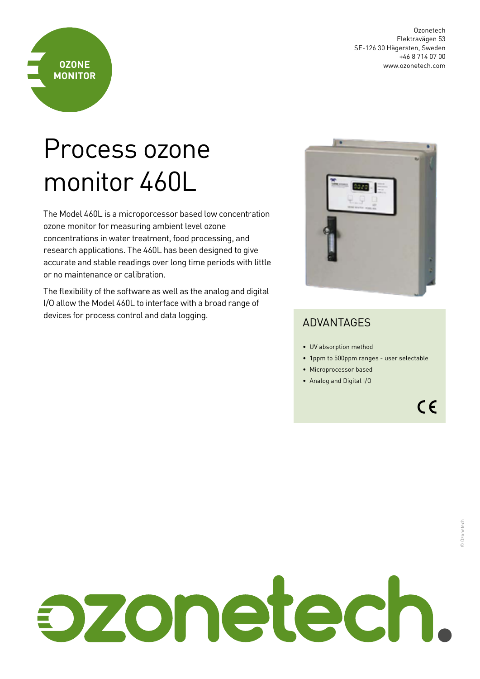

## Process ozone monitor 460L

**OZONE MONITOR**

The Model 460L is a microporcessor based low concentration ozone monitor for measuring ambient level ozone concentrations in water treatment, food processing, and research applications. The 460L has been designed to give accurate and stable readings over long time periods with little or no maintenance or calibration.

The flexibility of the software as well as the analog and digital I/O allow the Model 460L to interface with a broad range of devices for process control and data logging.



## ADVANTAGES

- UV absorption method
- 1ppm to 500ppm ranges user selectable
- Microprocessor based
- Analog and Digital I/O

 $C \in$ 

## bzonetech.